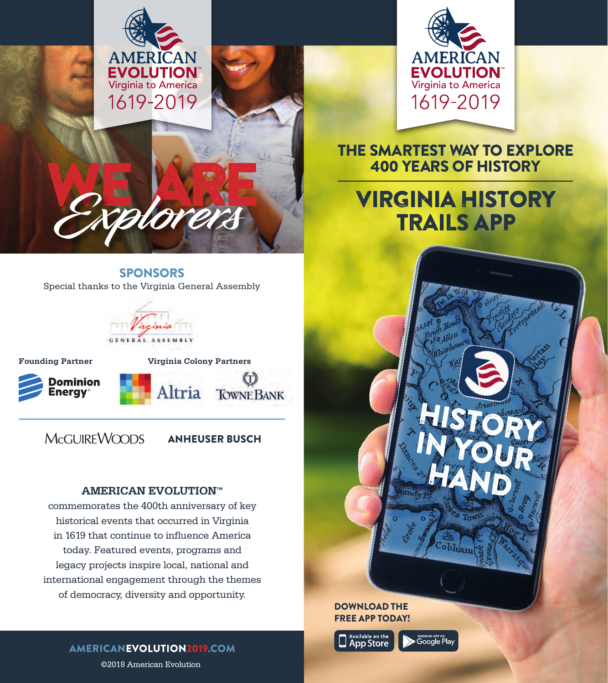



## THE SMARTEST WAY TO EXPLORE 400 YEARS OF HISTORY

# VIRGINIA HISTORY TRAILS APP



#### DOWNLOAD THE FREE APP TODAY!



**ANDROID APP ON**<br>• Google Play

SPONSORS Special thanks to the Virginia General Assembly

WE ARE **Explorers**



**Founding Partner Virginia Colony Partners** ĩТì Dominion Altria **nergy TOWNE BANK** 

McGUIREWOODS

ANHEUSER BUSCH

#### **AMERICAN EVOLUTION™**

commemorates the 400th anniversary of key historical events that occurred in Virginia in 1619 that continue to influence America today. Featured events, programs and legacy projects inspire local, national and international engagement through the themes of democracy, diversity and opportunity.

AMERICANEVOLUTION2019.COM

©2018 American Evolution